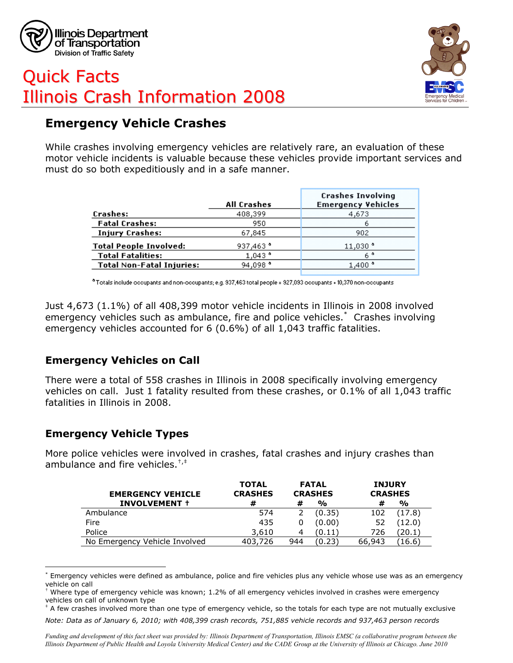

# Quick Facts Illinois Crash Information 2008



# **Emergency Vehicle Crashes**

While crashes involving emergency vehicles are relatively rare, an evaluation of these motor vehicle incidents is valuable because these vehicles provide important services and must do so both expeditiously and in a safe manner.

|                                  | <b>All Crashes</b> | <b>Crashes Involving</b><br><b>Emergency Vehicles</b> |  |  |
|----------------------------------|--------------------|-------------------------------------------------------|--|--|
| Crashes:                         | 408,399            | 4,673                                                 |  |  |
| <b>Fatal Crashes:</b>            | 950                |                                                       |  |  |
| <b>Injury Crashes:</b>           | 67,845             | 902                                                   |  |  |
| <b>Total People Involved:</b>    | 937,463 °          | $11,030$ <sup>*</sup>                                 |  |  |
| <b>Total Fatalities:</b>         | $1,043$ $^{\circ}$ | 6 °                                                   |  |  |
| <b>Total Non-Fatal Injuries:</b> | 94,098 $^{\circ}$  | $1,400$ <sup>*</sup>                                  |  |  |
|                                  |                    |                                                       |  |  |

 $^{\bullet}$ Totals include occupants and non-occupants; e.g. 937,463 total people = 927,093 occupants + 10,370 non-occupants

Just 4,673 (1.1%) of all 408,399 motor vehicle incidents in Illinois in 2008 involved emergency vehicles such as ambulance, fire and police vehicles.\* Crashes involving emergency vehicles accounted for 6 (0.6%) of all 1,043 traffic fatalities.

#### **Emergency Vehicles on Call**

There were a total of 558 crashes in Illinois in 2008 specifically involving emergency vehicles on call. Just 1 fatality resulted from these crashes, or 0.1% of all 1,043 traffic fatalities in Illinois in 2008.

#### **Emergency Vehicle Types**

 $\overline{a}$ 

More police vehicles were involved in crashes, fatal crashes and injury crashes than ambulance and fire vehicles.<sup> $^{\dagger,\dagger}$ </sup>

| <b>EMERGENCY VEHICLE</b>      | <b>TOTAL</b><br><b>CRASHES</b> | <b>FATAL</b><br><b>CRASHES</b> |               | <b>INJURY</b><br><b>CRASHES</b> |               |
|-------------------------------|--------------------------------|--------------------------------|---------------|---------------------------------|---------------|
| <b>INVOLVEMENT +</b>          | #                              | #                              | $\frac{1}{2}$ | #                               | $\frac{0}{0}$ |
| Ambulance                     | 574                            |                                | (0.35)        | 102                             | (17.8)        |
| Fire                          | 435                            |                                | (0.00)        | 52                              | (12.0)        |
| Police                        | 3,610                          |                                | (0.11)        | 726                             | 20.1          |
| No Emergency Vehicle Involved | 403,726                        | 944                            | (0.23)        | 66,943                          | 16.6          |

<sup>\*</sup> Emergency vehicles were defined as ambulance, police and fire vehicles plus any vehicle whose use was as an emergency vehicle on call

‡ A few crashes involved more than one type of emergency vehicle, so the totals for each type are not mutually exclusive

<sup>†</sup> Where type of emergency vehicle was known; 1.2% of all emergency vehicles involved in crashes were emergency vehicles on call of unknown type

*Note: Data as of January 6, 2010; with 408,399 crash records, 751,885 vehicle records and 937,463 person records*